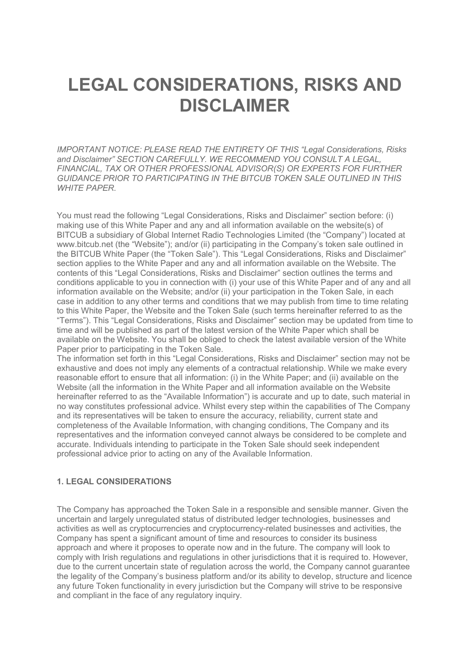# LEGAL CONSIDERATIONS, RISKS AND DISCLAIMER

IMPORTANT NOTICE: PLEASE READ THE ENTIRETY OF THIS "Legal Considerations, Risks and Disclaimer" SECTION CAREFULLY. WE RECOMMEND YOU CONSULT A LEGAL, FINANCIAL, TAX OR OTHER PROFESSIONAL ADVISOR(S) OR EXPERTS FOR FURTHER GUIDANCE PRIOR TO PARTICIPATING IN THE BITCUB TOKEN SALE OUTLINED IN THIS WHITE PAPER.

You must read the following "Legal Considerations, Risks and Disclaimer" section before: (i) making use of this White Paper and any and all information available on the website(s) of BITCUB a subsidiary of Global Internet Radio Technologies Limited (the "Company") located at www.bitcub.net (the "Website"); and/or (ii) participating in the Company's token sale outlined in the BITCUB White Paper (the "Token Sale"). This "Legal Considerations, Risks and Disclaimer" section applies to the White Paper and any and all information available on the Website. The contents of this "Legal Considerations, Risks and Disclaimer" section outlines the terms and conditions applicable to you in connection with (i) your use of this White Paper and of any and all information available on the Website; and/or (ii) your participation in the Token Sale, in each case in addition to any other terms and conditions that we may publish from time to time relating to this White Paper, the Website and the Token Sale (such terms hereinafter referred to as the "Terms"). This "Legal Considerations, Risks and Disclaimer" section may be updated from time to time and will be published as part of the latest version of the White Paper which shall be available on the Website. You shall be obliged to check the latest available version of the White Paper prior to participating in the Token Sale.

The information set forth in this "Legal Considerations, Risks and Disclaimer" section may not be exhaustive and does not imply any elements of a contractual relationship. While we make every reasonable effort to ensure that all information: (i) in the White Paper; and (ii) available on the Website (all the information in the White Paper and all information available on the Website hereinafter referred to as the "Available Information") is accurate and up to date, such material in no way constitutes professional advice. Whilst every step within the capabilities of The Company and its representatives will be taken to ensure the accuracy, reliability, current state and completeness of the Available Information, with changing conditions, The Company and its representatives and the information conveyed cannot always be considered to be complete and accurate. Individuals intending to participate in the Token Sale should seek independent professional advice prior to acting on any of the Available Information.

# 1. LEGAL CONSIDERATIONS

The Company has approached the Token Sale in a responsible and sensible manner. Given the uncertain and largely unregulated status of distributed ledger technologies, businesses and activities as well as cryptocurrencies and cryptocurrency-related businesses and activities, the Company has spent a significant amount of time and resources to consider its business approach and where it proposes to operate now and in the future. The company will look to comply with Irish regulations and regulations in other jurisdictions that it is required to. However, due to the current uncertain state of regulation across the world, the Company cannot guarantee the legality of the Company's business platform and/or its ability to develop, structure and licence any future Token functionality in every jurisdiction but the Company will strive to be responsive and compliant in the face of any regulatory inquiry.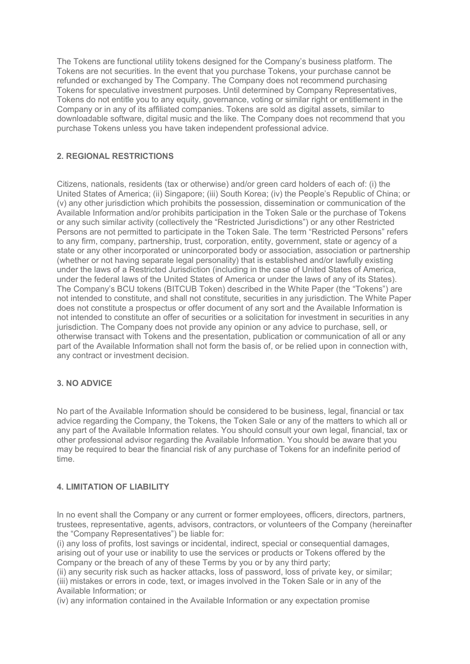The Tokens are functional utility tokens designed for the Company's business platform. The Tokens are not securities. In the event that you purchase Tokens, your purchase cannot be refunded or exchanged by The Company. The Company does not recommend purchasing Tokens for speculative investment purposes. Until determined by Company Representatives, Tokens do not entitle you to any equity, governance, voting or similar right or entitlement in the Company or in any of its affiliated companies. Tokens are sold as digital assets, similar to downloadable software, digital music and the like. The Company does not recommend that you purchase Tokens unless you have taken independent professional advice.

# 2. REGIONAL RESTRICTIONS

Citizens, nationals, residents (tax or otherwise) and/or green card holders of each of: (i) the United States of America; (ii) Singapore; (iii) South Korea; (iv) the People's Republic of China; or (v) any other jurisdiction which prohibits the possession, dissemination or communication of the Available Information and/or prohibits participation in the Token Sale or the purchase of Tokens or any such similar activity (collectively the "Restricted Jurisdictions") or any other Restricted Persons are not permitted to participate in the Token Sale. The term "Restricted Persons" refers to any firm, company, partnership, trust, corporation, entity, government, state or agency of a state or any other incorporated or unincorporated body or association, association or partnership (whether or not having separate legal personality) that is established and/or lawfully existing under the laws of a Restricted Jurisdiction (including in the case of United States of America, under the federal laws of the United States of America or under the laws of any of its States). The Company's BCU tokens (BITCUB Token) described in the White Paper (the "Tokens") are not intended to constitute, and shall not constitute, securities in any jurisdiction. The White Paper does not constitute a prospectus or offer document of any sort and the Available Information is not intended to constitute an offer of securities or a solicitation for investment in securities in any jurisdiction. The Company does not provide any opinion or any advice to purchase, sell, or otherwise transact with Tokens and the presentation, publication or communication of all or any part of the Available Information shall not form the basis of, or be relied upon in connection with, any contract or investment decision.

# 3. NO ADVICE

No part of the Available Information should be considered to be business, legal, financial or tax advice regarding the Company, the Tokens, the Token Sale or any of the matters to which all or any part of the Available Information relates. You should consult your own legal, financial, tax or other professional advisor regarding the Available Information. You should be aware that you may be required to bear the financial risk of any purchase of Tokens for an indefinite period of time.

#### 4. LIMITATION OF LIABILITY

In no event shall the Company or any current or former employees, officers, directors, partners, trustees, representative, agents, advisors, contractors, or volunteers of the Company (hereinafter the "Company Representatives") be liable for:

(i) any loss of profits, lost savings or incidental, indirect, special or consequential damages, arising out of your use or inability to use the services or products or Tokens offered by the Company or the breach of any of these Terms by you or by any third party;

(ii) any security risk such as hacker attacks, loss of password, loss of private key, or similar; (iii) mistakes or errors in code, text, or images involved in the Token Sale or in any of the Available Information; or

(iv) any information contained in the Available Information or any expectation promise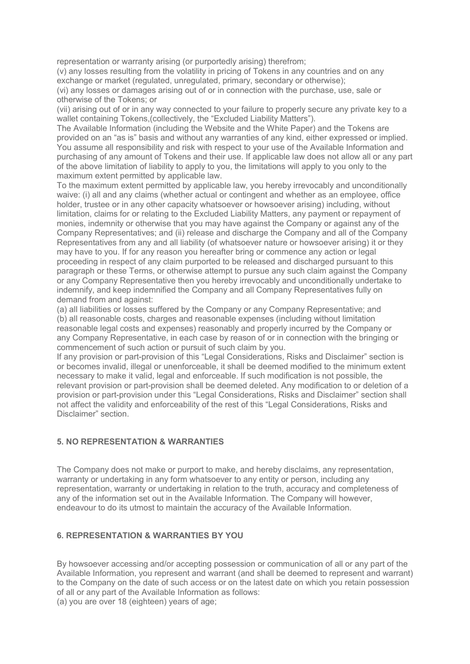representation or warranty arising (or purportedly arising) therefrom;

(v) any losses resulting from the volatility in pricing of Tokens in any countries and on any exchange or market (regulated, unregulated, primary, secondary or otherwise);

(vi) any losses or damages arising out of or in connection with the purchase, use, sale or otherwise of the Tokens; or

(vii) arising out of or in any way connected to your failure to properly secure any private key to a wallet containing Tokens,(collectively, the "Excluded Liability Matters").

The Available Information (including the Website and the White Paper) and the Tokens are provided on an "as is" basis and without any warranties of any kind, either expressed or implied. You assume all responsibility and risk with respect to your use of the Available Information and purchasing of any amount of Tokens and their use. If applicable law does not allow all or any part of the above limitation of liability to apply to you, the limitations will apply to you only to the maximum extent permitted by applicable law.

To the maximum extent permitted by applicable law, you hereby irrevocably and unconditionally waive: (i) all and any claims (whether actual or contingent and whether as an employee, office holder, trustee or in any other capacity whatsoever or howsoever arising) including, without limitation, claims for or relating to the Excluded Liability Matters, any payment or repayment of monies, indemnity or otherwise that you may have against the Company or against any of the Company Representatives; and (ii) release and discharge the Company and all of the Company Representatives from any and all liability (of whatsoever nature or howsoever arising) it or they may have to you. If for any reason you hereafter bring or commence any action or legal proceeding in respect of any claim purported to be released and discharged pursuant to this paragraph or these Terms, or otherwise attempt to pursue any such claim against the Company or any Company Representative then you hereby irrevocably and unconditionally undertake to indemnify, and keep indemnified the Company and all Company Representatives fully on demand from and against:

(a) all liabilities or losses suffered by the Company or any Company Representative; and (b) all reasonable costs, charges and reasonable expenses (including without limitation reasonable legal costs and expenses) reasonably and properly incurred by the Company or any Company Representative, in each case by reason of or in connection with the bringing or commencement of such action or pursuit of such claim by you.

If any provision or part-provision of this "Legal Considerations, Risks and Disclaimer" section is or becomes invalid, illegal or unenforceable, it shall be deemed modified to the minimum extent necessary to make it valid, legal and enforceable. If such modification is not possible, the relevant provision or part-provision shall be deemed deleted. Any modification to or deletion of a provision or part-provision under this "Legal Considerations, Risks and Disclaimer" section shall not affect the validity and enforceability of the rest of this "Legal Considerations, Risks and Disclaimer" section.

#### 5. NO REPRESENTATION & WARRANTIES

The Company does not make or purport to make, and hereby disclaims, any representation, warranty or undertaking in any form whatsoever to any entity or person, including any representation, warranty or undertaking in relation to the truth, accuracy and completeness of any of the information set out in the Available Information. The Company will however, endeavour to do its utmost to maintain the accuracy of the Available Information.

# 6. REPRESENTATION & WARRANTIES BY YOU

By howsoever accessing and/or accepting possession or communication of all or any part of the Available Information, you represent and warrant (and shall be deemed to represent and warrant) to the Company on the date of such access or on the latest date on which you retain possession of all or any part of the Available Information as follows:

(a) you are over 18 (eighteen) years of age;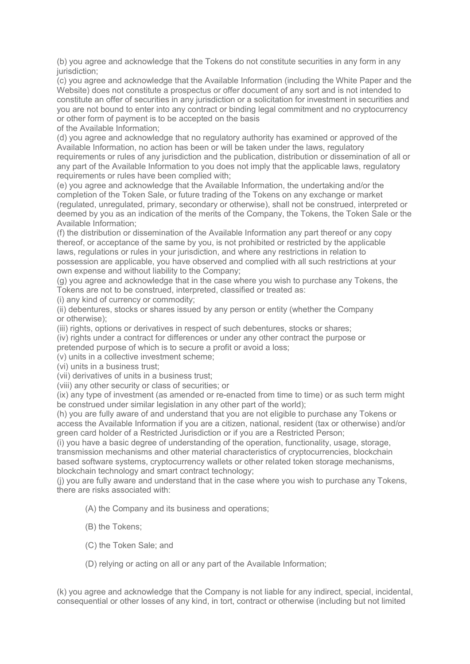(b) you agree and acknowledge that the Tokens do not constitute securities in any form in any jurisdiction:

(c) you agree and acknowledge that the Available Information (including the White Paper and the Website) does not constitute a prospectus or offer document of any sort and is not intended to constitute an offer of securities in any jurisdiction or a solicitation for investment in securities and you are not bound to enter into any contract or binding legal commitment and no cryptocurrency or other form of payment is to be accepted on the basis

of the Available Information;

(d) you agree and acknowledge that no regulatory authority has examined or approved of the Available Information, no action has been or will be taken under the laws, regulatory requirements or rules of any jurisdiction and the publication, distribution or dissemination of all or any part of the Available Information to you does not imply that the applicable laws, regulatory requirements or rules have been complied with;

(e) you agree and acknowledge that the Available Information, the undertaking and/or the completion of the Token Sale, or future trading of the Tokens on any exchange or market (regulated, unregulated, primary, secondary or otherwise), shall not be construed, interpreted or deemed by you as an indication of the merits of the Company, the Tokens, the Token Sale or the Available Information;

(f) the distribution or dissemination of the Available Information any part thereof or any copy thereof, or acceptance of the same by you, is not prohibited or restricted by the applicable laws, regulations or rules in your jurisdiction, and where any restrictions in relation to possession are applicable, you have observed and complied with all such restrictions at your own expense and without liability to the Company;

(g) you agree and acknowledge that in the case where you wish to purchase any Tokens, the Tokens are not to be construed, interpreted, classified or treated as:

(i) any kind of currency or commodity;

(ii) debentures, stocks or shares issued by any person or entity (whether the Company or otherwise);

(iii) rights, options or derivatives in respect of such debentures, stocks or shares;

(iv) rights under a contract for differences or under any other contract the purpose or

pretended purpose of which is to secure a profit or avoid a loss;

(v) units in a collective investment scheme;

(vi) units in a business trust;

(vii) derivatives of units in a business trust;

(viii) any other security or class of securities; or

(ix) any type of investment (as amended or re-enacted from time to time) or as such term might be construed under similar legislation in any other part of the world);

(h) you are fully aware of and understand that you are not eligible to purchase any Tokens or access the Available Information if you are a citizen, national, resident (tax or otherwise) and/or green card holder of a Restricted Jurisdiction or if you are a Restricted Person;

(i) you have a basic degree of understanding of the operation, functionality, usage, storage, transmission mechanisms and other material characteristics of cryptocurrencies, blockchain based software systems, cryptocurrency wallets or other related token storage mechanisms, blockchain technology and smart contract technology;

(j) you are fully aware and understand that in the case where you wish to purchase any Tokens, there are risks associated with:

(A) the Company and its business and operations;

- (B) the Tokens;
- (C) the Token Sale; and
- (D) relying or acting on all or any part of the Available Information;

(k) you agree and acknowledge that the Company is not liable for any indirect, special, incidental, consequential or other losses of any kind, in tort, contract or otherwise (including but not limited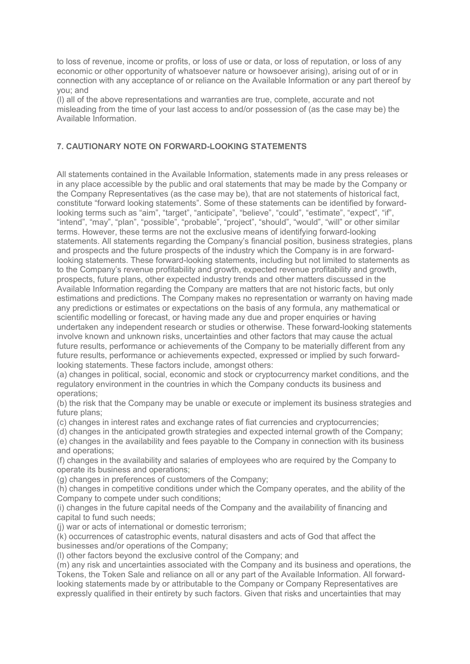to loss of revenue, income or profits, or loss of use or data, or loss of reputation, or loss of any economic or other opportunity of whatsoever nature or howsoever arising), arising out of or in connection with any acceptance of or reliance on the Available Information or any part thereof by you; and

(l) all of the above representations and warranties are true, complete, accurate and not misleading from the time of your last access to and/or possession of (as the case may be) the Available Information.

## 7. CAUTIONARY NOTE ON FORWARD-LOOKING STATEMENTS

All statements contained in the Available Information, statements made in any press releases or in any place accessible by the public and oral statements that may be made by the Company or the Company Representatives (as the case may be), that are not statements of historical fact, constitute "forward looking statements". Some of these statements can be identified by forwardlooking terms such as "aim", "target", "anticipate", "believe", "could", "estimate", "expect", "if", "intend", "may", "plan", "possible", "probable", "project", "should", "would", "will" or other similar terms. However, these terms are not the exclusive means of identifying forward-looking statements. All statements regarding the Company's financial position, business strategies, plans and prospects and the future prospects of the industry which the Company is in are forwardlooking statements. These forward-looking statements, including but not limited to statements as to the Company's revenue profitability and growth, expected revenue profitability and growth, prospects, future plans, other expected industry trends and other matters discussed in the Available Information regarding the Company are matters that are not historic facts, but only estimations and predictions. The Company makes no representation or warranty on having made any predictions or estimates or expectations on the basis of any formula, any mathematical or scientific modelling or forecast, or having made any due and proper enquiries or having undertaken any independent research or studies or otherwise. These forward-looking statements involve known and unknown risks, uncertainties and other factors that may cause the actual future results, performance or achievements of the Company to be materially different from any future results, performance or achievements expected, expressed or implied by such forwardlooking statements. These factors include, amongst others:

(a) changes in political, social, economic and stock or cryptocurrency market conditions, and the regulatory environment in the countries in which the Company conducts its business and operations;

(b) the risk that the Company may be unable or execute or implement its business strategies and future plans:

(c) changes in interest rates and exchange rates of fiat currencies and cryptocurrencies;

(d) changes in the anticipated growth strategies and expected internal growth of the Company; (e) changes in the availability and fees payable to the Company in connection with its business

and operations; (f) changes in the availability and salaries of employees who are required by the Company to operate its business and operations;

(g) changes in preferences of customers of the Company;

(h) changes in competitive conditions under which the Company operates, and the ability of the Company to compete under such conditions;

(i) changes in the future capital needs of the Company and the availability of financing and capital to fund such needs;

(j) war or acts of international or domestic terrorism;

(k) occurrences of catastrophic events, natural disasters and acts of God that affect the businesses and/or operations of the Company;

(l) other factors beyond the exclusive control of the Company; and

(m) any risk and uncertainties associated with the Company and its business and operations, the Tokens, the Token Sale and reliance on all or any part of the Available Information. All forwardlooking statements made by or attributable to the Company or Company Representatives are expressly qualified in their entirety by such factors. Given that risks and uncertainties that may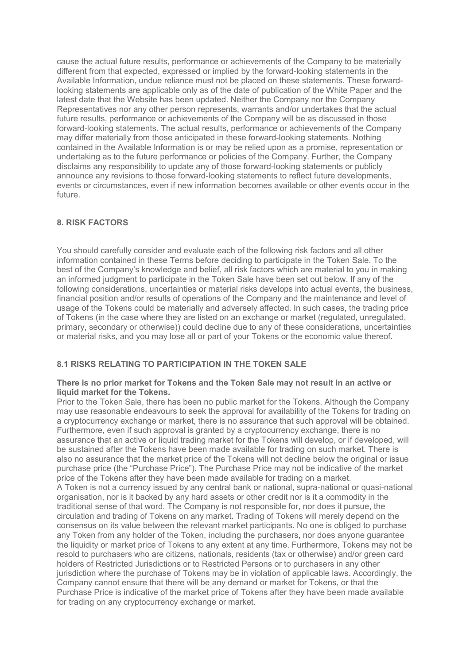cause the actual future results, performance or achievements of the Company to be materially different from that expected, expressed or implied by the forward-looking statements in the Available Information, undue reliance must not be placed on these statements. These forwardlooking statements are applicable only as of the date of publication of the White Paper and the latest date that the Website has been updated. Neither the Company nor the Company Representatives nor any other person represents, warrants and/or undertakes that the actual future results, performance or achievements of the Company will be as discussed in those forward-looking statements. The actual results, performance or achievements of the Company may differ materially from those anticipated in these forward-looking statements. Nothing contained in the Available Information is or may be relied upon as a promise, representation or undertaking as to the future performance or policies of the Company. Further, the Company disclaims any responsibility to update any of those forward-looking statements or publicly announce any revisions to those forward-looking statements to reflect future developments, events or circumstances, even if new information becomes available or other events occur in the future.

# 8. RISK FACTORS

You should carefully consider and evaluate each of the following risk factors and all other information contained in these Terms before deciding to participate in the Token Sale. To the best of the Company's knowledge and belief, all risk factors which are material to you in making an informed judgment to participate in the Token Sale have been set out below. If any of the following considerations, uncertainties or material risks develops into actual events, the business, financial position and/or results of operations of the Company and the maintenance and level of usage of the Tokens could be materially and adversely affected. In such cases, the trading price of Tokens (in the case where they are listed on an exchange or market (regulated, unregulated, primary, secondary or otherwise)) could decline due to any of these considerations, uncertainties or material risks, and you may lose all or part of your Tokens or the economic value thereof.

### 8.1 RISKS RELATING TO PARTICIPATION IN THE TOKEN SALE

#### There is no prior market for Tokens and the Token Sale may not result in an active or liquid market for the Tokens.

Prior to the Token Sale, there has been no public market for the Tokens. Although the Company may use reasonable endeavours to seek the approval for availability of the Tokens for trading on a cryptocurrency exchange or market, there is no assurance that such approval will be obtained. Furthermore, even if such approval is granted by a cryptocurrency exchange, there is no assurance that an active or liquid trading market for the Tokens will develop, or if developed, will be sustained after the Tokens have been made available for trading on such market. There is also no assurance that the market price of the Tokens will not decline below the original or issue purchase price (the "Purchase Price"). The Purchase Price may not be indicative of the market price of the Tokens after they have been made available for trading on a market. A Token is not a currency issued by any central bank or national, supra-national or quasi-national organisation, nor is it backed by any hard assets or other credit nor is it a commodity in the traditional sense of that word. The Company is not responsible for, nor does it pursue, the circulation and trading of Tokens on any market. Trading of Tokens will merely depend on the consensus on its value between the relevant market participants. No one is obliged to purchase any Token from any holder of the Token, including the purchasers, nor does anyone guarantee the liquidity or market price of Tokens to any extent at any time. Furthermore, Tokens may not be resold to purchasers who are citizens, nationals, residents (tax or otherwise) and/or green card holders of Restricted Jurisdictions or to Restricted Persons or to purchasers in any other jurisdiction where the purchase of Tokens may be in violation of applicable laws. Accordingly, the Company cannot ensure that there will be any demand or market for Tokens, or that the Purchase Price is indicative of the market price of Tokens after they have been made available for trading on any cryptocurrency exchange or market.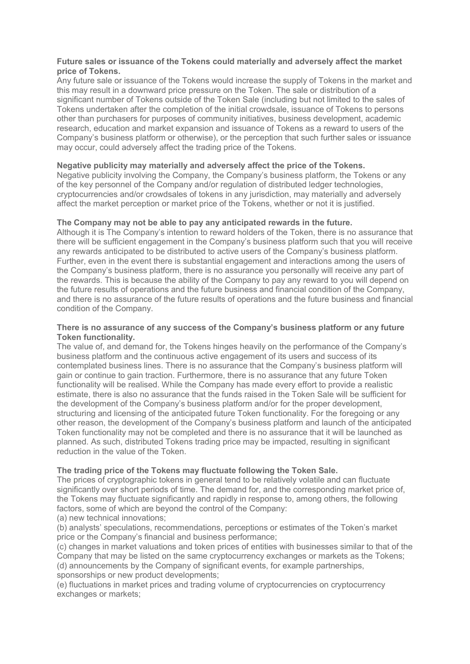### Future sales or issuance of the Tokens could materially and adversely affect the market price of Tokens.

Any future sale or issuance of the Tokens would increase the supply of Tokens in the market and this may result in a downward price pressure on the Token. The sale or distribution of a significant number of Tokens outside of the Token Sale (including but not limited to the sales of Tokens undertaken after the completion of the initial crowdsale, issuance of Tokens to persons other than purchasers for purposes of community initiatives, business development, academic research, education and market expansion and issuance of Tokens as a reward to users of the Company's business platform or otherwise), or the perception that such further sales or issuance may occur, could adversely affect the trading price of the Tokens.

## Negative publicity may materially and adversely affect the price of the Tokens.

Negative publicity involving the Company, the Company's business platform, the Tokens or any of the key personnel of the Company and/or regulation of distributed ledger technologies, cryptocurrencies and/or crowdsales of tokens in any jurisdiction, may materially and adversely affect the market perception or market price of the Tokens, whether or not it is justified.

## The Company may not be able to pay any anticipated rewards in the future.

Although it is The Company's intention to reward holders of the Token, there is no assurance that there will be sufficient engagement in the Company's business platform such that you will receive any rewards anticipated to be distributed to active users of the Company's business platform. Further, even in the event there is substantial engagement and interactions among the users of the Company's business platform, there is no assurance you personally will receive any part of the rewards. This is because the ability of the Company to pay any reward to you will depend on the future results of operations and the future business and financial condition of the Company, and there is no assurance of the future results of operations and the future business and financial condition of the Company.

#### There is no assurance of any success of the Company's business platform or any future Token functionality.

The value of, and demand for, the Tokens hinges heavily on the performance of the Company's business platform and the continuous active engagement of its users and success of its contemplated business lines. There is no assurance that the Company's business platform will gain or continue to gain traction. Furthermore, there is no assurance that any future Token functionality will be realised. While the Company has made every effort to provide a realistic estimate, there is also no assurance that the funds raised in the Token Sale will be sufficient for the development of the Company's business platform and/or for the proper development, structuring and licensing of the anticipated future Token functionality. For the foregoing or any other reason, the development of the Company's business platform and launch of the anticipated Token functionality may not be completed and there is no assurance that it will be launched as planned. As such, distributed Tokens trading price may be impacted, resulting in significant reduction in the value of the Token.

#### The trading price of the Tokens may fluctuate following the Token Sale.

The prices of cryptographic tokens in general tend to be relatively volatile and can fluctuate significantly over short periods of time. The demand for, and the corresponding market price of, the Tokens may fluctuate significantly and rapidly in response to, among others, the following factors, some of which are beyond the control of the Company:

(a) new technical innovations;

(b) analysts' speculations, recommendations, perceptions or estimates of the Token's market price or the Company's financial and business performance;

(c) changes in market valuations and token prices of entities with businesses similar to that of the Company that may be listed on the same cryptocurrency exchanges or markets as the Tokens; (d) announcements by the Company of significant events, for example partnerships, sponsorships or new product developments;

(e) fluctuations in market prices and trading volume of cryptocurrencies on cryptocurrency exchanges or markets;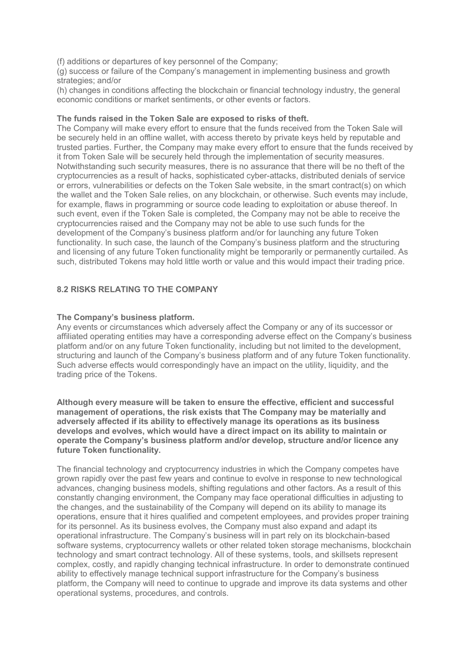(f) additions or departures of key personnel of the Company;

(g) success or failure of the Company's management in implementing business and growth strategies; and/or

(h) changes in conditions affecting the blockchain or financial technology industry, the general economic conditions or market sentiments, or other events or factors.

#### The funds raised in the Token Sale are exposed to risks of theft.

The Company will make every effort to ensure that the funds received from the Token Sale will be securely held in an offline wallet, with access thereto by private keys held by reputable and trusted parties. Further, the Company may make every effort to ensure that the funds received by it from Token Sale will be securely held through the implementation of security measures. Notwithstanding such security measures, there is no assurance that there will be no theft of the cryptocurrencies as a result of hacks, sophisticated cyber-attacks, distributed denials of service or errors, vulnerabilities or defects on the Token Sale website, in the smart contract(s) on which the wallet and the Token Sale relies, on any blockchain, or otherwise. Such events may include, for example, flaws in programming or source code leading to exploitation or abuse thereof. In such event, even if the Token Sale is completed, the Company may not be able to receive the cryptocurrencies raised and the Company may not be able to use such funds for the development of the Company's business platform and/or for launching any future Token functionality. In such case, the launch of the Company's business platform and the structuring and licensing of any future Token functionality might be temporarily or permanently curtailed. As such, distributed Tokens may hold little worth or value and this would impact their trading price.

# 8.2 RISKS RELATING TO THE COMPANY

## The Company's business platform.

Any events or circumstances which adversely affect the Company or any of its successor or affiliated operating entities may have a corresponding adverse effect on the Company's business platform and/or on any future Token functionality, including but not limited to the development, structuring and launch of the Company's business platform and of any future Token functionality. Such adverse effects would correspondingly have an impact on the utility, liquidity, and the trading price of the Tokens.

Although every measure will be taken to ensure the effective, efficient and successful management of operations, the risk exists that The Company may be materially and adversely affected if its ability to effectively manage its operations as its business develops and evolves, which would have a direct impact on its ability to maintain or operate the Company's business platform and/or develop, structure and/or licence any future Token functionality.

The financial technology and cryptocurrency industries in which the Company competes have grown rapidly over the past few years and continue to evolve in response to new technological advances, changing business models, shifting regulations and other factors. As a result of this constantly changing environment, the Company may face operational difficulties in adjusting to the changes, and the sustainability of the Company will depend on its ability to manage its operations, ensure that it hires qualified and competent employees, and provides proper training for its personnel. As its business evolves, the Company must also expand and adapt its operational infrastructure. The Company's business will in part rely on its blockchain-based software systems, cryptocurrency wallets or other related token storage mechanisms, blockchain technology and smart contract technology. All of these systems, tools, and skillsets represent complex, costly, and rapidly changing technical infrastructure. In order to demonstrate continued ability to effectively manage technical support infrastructure for the Company's business platform, the Company will need to continue to upgrade and improve its data systems and other operational systems, procedures, and controls.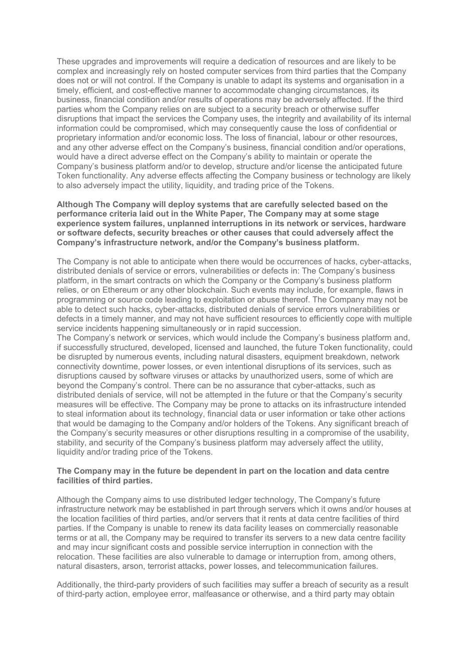These upgrades and improvements will require a dedication of resources and are likely to be complex and increasingly rely on hosted computer services from third parties that the Company does not or will not control. If the Company is unable to adapt its systems and organisation in a timely, efficient, and cost-effective manner to accommodate changing circumstances, its business, financial condition and/or results of operations may be adversely affected. If the third parties whom the Company relies on are subject to a security breach or otherwise suffer disruptions that impact the services the Company uses, the integrity and availability of its internal information could be compromised, which may consequently cause the loss of confidential or proprietary information and/or economic loss. The loss of financial, labour or other resources, and any other adverse effect on the Company's business, financial condition and/or operations, would have a direct adverse effect on the Company's ability to maintain or operate the Company's business platform and/or to develop, structure and/or license the anticipated future Token functionality. Any adverse effects affecting the Company business or technology are likely to also adversely impact the utility, liquidity, and trading price of the Tokens.

#### Although The Company will deploy systems that are carefully selected based on the performance criteria laid out in the White Paper, The Company may at some stage experience system failures, unplanned interruptions in its network or services, hardware or software defects, security breaches or other causes that could adversely affect the Company's infrastructure network, and/or the Company's business platform.

The Company is not able to anticipate when there would be occurrences of hacks, cyber-attacks, distributed denials of service or errors, vulnerabilities or defects in: The Company's business platform, in the smart contracts on which the Company or the Company's business platform relies, or on Ethereum or any other blockchain. Such events may include, for example, flaws in programming or source code leading to exploitation or abuse thereof. The Company may not be able to detect such hacks, cyber-attacks, distributed denials of service errors vulnerabilities or defects in a timely manner, and may not have sufficient resources to efficiently cope with multiple service incidents happening simultaneously or in rapid succession.

The Company's network or services, which would include the Company's business platform and, if successfully structured, developed, licensed and launched, the future Token functionality, could be disrupted by numerous events, including natural disasters, equipment breakdown, network connectivity downtime, power losses, or even intentional disruptions of its services, such as disruptions caused by software viruses or attacks by unauthorized users, some of which are beyond the Company's control. There can be no assurance that cyber-attacks, such as distributed denials of service, will not be attempted in the future or that the Company's security measures will be effective. The Company may be prone to attacks on its infrastructure intended to steal information about its technology, financial data or user information or take other actions that would be damaging to the Company and/or holders of the Tokens. Any significant breach of the Company's security measures or other disruptions resulting in a compromise of the usability, stability, and security of the Company's business platform may adversely affect the utility, liquidity and/or trading price of the Tokens.

#### The Company may in the future be dependent in part on the location and data centre facilities of third parties.

Although the Company aims to use distributed ledger technology, The Company's future infrastructure network may be established in part through servers which it owns and/or houses at the location facilities of third parties, and/or servers that it rents at data centre facilities of third parties. If the Company is unable to renew its data facility leases on commercially reasonable terms or at all, the Company may be required to transfer its servers to a new data centre facility and may incur significant costs and possible service interruption in connection with the relocation. These facilities are also vulnerable to damage or interruption from, among others, natural disasters, arson, terrorist attacks, power losses, and telecommunication failures.

Additionally, the third-party providers of such facilities may suffer a breach of security as a result of third-party action, employee error, malfeasance or otherwise, and a third party may obtain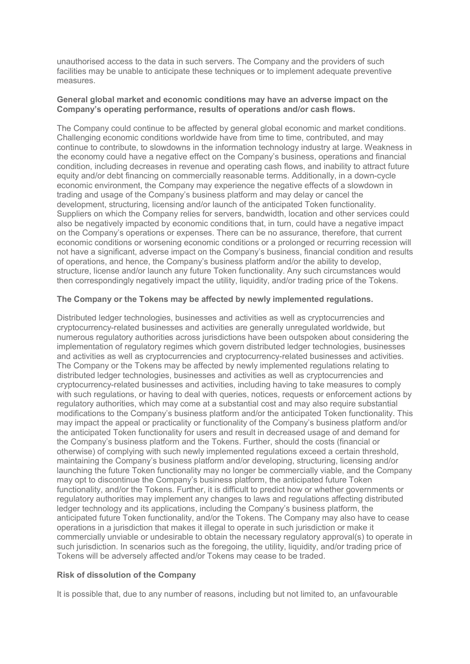unauthorised access to the data in such servers. The Company and the providers of such facilities may be unable to anticipate these techniques or to implement adequate preventive measures.

## General global market and economic conditions may have an adverse impact on the Company's operating performance, results of operations and/or cash flows.

The Company could continue to be affected by general global economic and market conditions. Challenging economic conditions worldwide have from time to time, contributed, and may continue to contribute, to slowdowns in the information technology industry at large. Weakness in the economy could have a negative effect on the Company's business, operations and financial condition, including decreases in revenue and operating cash flows, and inability to attract future equity and/or debt financing on commercially reasonable terms. Additionally, in a down-cycle economic environment, the Company may experience the negative effects of a slowdown in trading and usage of the Company's business platform and may delay or cancel the development, structuring, licensing and/or launch of the anticipated Token functionality. Suppliers on which the Company relies for servers, bandwidth, location and other services could also be negatively impacted by economic conditions that, in turn, could have a negative impact on the Company's operations or expenses. There can be no assurance, therefore, that current economic conditions or worsening economic conditions or a prolonged or recurring recession will not have a significant, adverse impact on the Company's business, financial condition and results of operations, and hence, the Company's business platform and/or the ability to develop, structure, license and/or launch any future Token functionality. Any such circumstances would then correspondingly negatively impact the utility, liquidity, and/or trading price of the Tokens.

# The Company or the Tokens may be affected by newly implemented regulations.

Distributed ledger technologies, businesses and activities as well as cryptocurrencies and cryptocurrency-related businesses and activities are generally unregulated worldwide, but numerous regulatory authorities across jurisdictions have been outspoken about considering the implementation of regulatory regimes which govern distributed ledger technologies, businesses and activities as well as cryptocurrencies and cryptocurrency-related businesses and activities. The Company or the Tokens may be affected by newly implemented regulations relating to distributed ledger technologies, businesses and activities as well as cryptocurrencies and cryptocurrency-related businesses and activities, including having to take measures to comply with such regulations, or having to deal with queries, notices, requests or enforcement actions by regulatory authorities, which may come at a substantial cost and may also require substantial modifications to the Company's business platform and/or the anticipated Token functionality. This may impact the appeal or practicality or functionality of the Company's business platform and/or the anticipated Token functionality for users and result in decreased usage of and demand for the Company's business platform and the Tokens. Further, should the costs (financial or otherwise) of complying with such newly implemented regulations exceed a certain threshold, maintaining the Company's business platform and/or developing, structuring, licensing and/or launching the future Token functionality may no longer be commercially viable, and the Company may opt to discontinue the Company's business platform, the anticipated future Token functionality, and/or the Tokens. Further, it is difficult to predict how or whether governments or regulatory authorities may implement any changes to laws and regulations affecting distributed ledger technology and its applications, including the Company's business platform, the anticipated future Token functionality, and/or the Tokens. The Company may also have to cease operations in a jurisdiction that makes it illegal to operate in such jurisdiction or make it commercially unviable or undesirable to obtain the necessary regulatory approval(s) to operate in such jurisdiction. In scenarios such as the foregoing, the utility, liquidity, and/or trading price of Tokens will be adversely affected and/or Tokens may cease to be traded.

#### Risk of dissolution of the Company

It is possible that, due to any number of reasons, including but not limited to, an unfavourable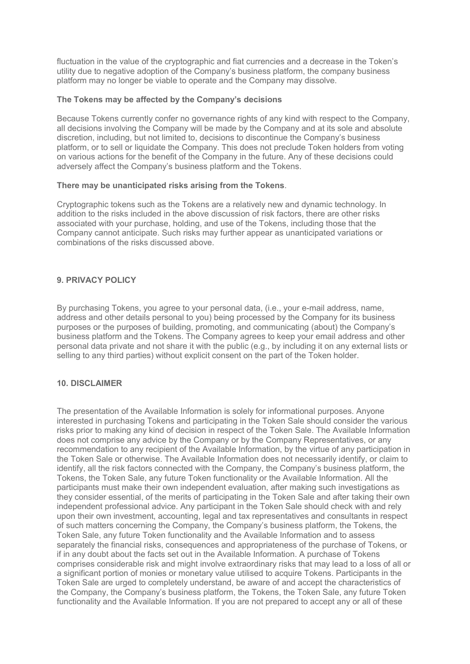fluctuation in the value of the cryptographic and fiat currencies and a decrease in the Token's utility due to negative adoption of the Company's business platform, the company business platform may no longer be viable to operate and the Company may dissolve.

#### The Tokens may be affected by the Company's decisions

Because Tokens currently confer no governance rights of any kind with respect to the Company, all decisions involving the Company will be made by the Company and at its sole and absolute discretion, including, but not limited to, decisions to discontinue the Company's business platform, or to sell or liquidate the Company. This does not preclude Token holders from voting on various actions for the benefit of the Company in the future. Any of these decisions could adversely affect the Company's business platform and the Tokens.

## There may be unanticipated risks arising from the Tokens.

Cryptographic tokens such as the Tokens are a relatively new and dynamic technology. In addition to the risks included in the above discussion of risk factors, there are other risks associated with your purchase, holding, and use of the Tokens, including those that the Company cannot anticipate. Such risks may further appear as unanticipated variations or combinations of the risks discussed above.

# 9. PRIVACY POLICY

By purchasing Tokens, you agree to your personal data, (i.e., your e-mail address, name, address and other details personal to you) being processed by the Company for its business purposes or the purposes of building, promoting, and communicating (about) the Company's business platform and the Tokens. The Company agrees to keep your email address and other personal data private and not share it with the public (e.g., by including it on any external lists or selling to any third parties) without explicit consent on the part of the Token holder.

# 10. DISCLAIMER

The presentation of the Available Information is solely for informational purposes. Anyone interested in purchasing Tokens and participating in the Token Sale should consider the various risks prior to making any kind of decision in respect of the Token Sale. The Available Information does not comprise any advice by the Company or by the Company Representatives, or any recommendation to any recipient of the Available Information, by the virtue of any participation in the Token Sale or otherwise. The Available Information does not necessarily identify, or claim to identify, all the risk factors connected with the Company, the Company's business platform, the Tokens, the Token Sale, any future Token functionality or the Available Information. All the participants must make their own independent evaluation, after making such investigations as they consider essential, of the merits of participating in the Token Sale and after taking their own independent professional advice. Any participant in the Token Sale should check with and rely upon their own investment, accounting, legal and tax representatives and consultants in respect of such matters concerning the Company, the Company's business platform, the Tokens, the Token Sale, any future Token functionality and the Available Information and to assess separately the financial risks, consequences and appropriateness of the purchase of Tokens, or if in any doubt about the facts set out in the Available Information. A purchase of Tokens comprises considerable risk and might involve extraordinary risks that may lead to a loss of all or a significant portion of monies or monetary value utilised to acquire Tokens. Participants in the Token Sale are urged to completely understand, be aware of and accept the characteristics of the Company, the Company's business platform, the Tokens, the Token Sale, any future Token functionality and the Available Information. If you are not prepared to accept any or all of these